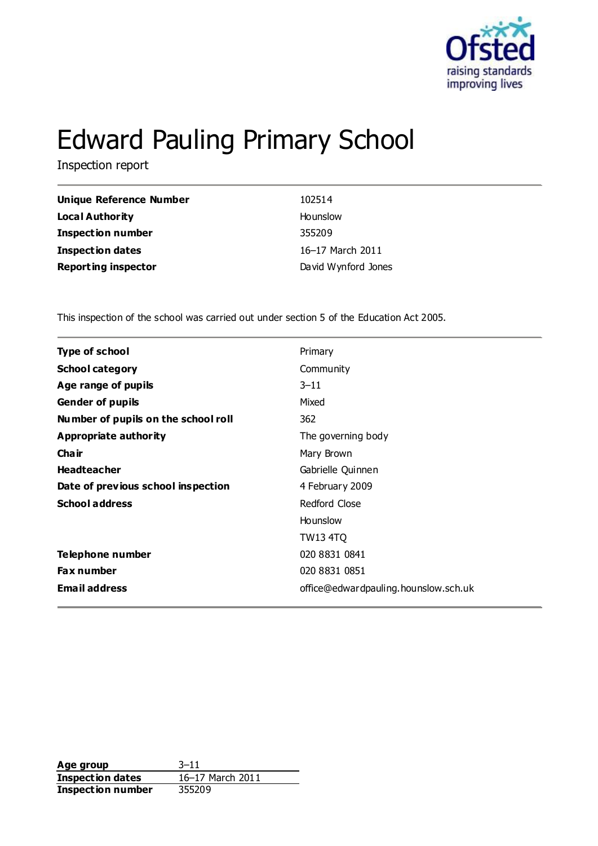

# Edward Pauling Primary School

Inspection report

| Unique Reference Number    | 102514              |
|----------------------------|---------------------|
| <b>Local Authority</b>     | Hounslow            |
| <b>Inspection number</b>   | 355209              |
| <b>Inspection dates</b>    | 16-17 March 2011    |
| <b>Reporting inspector</b> | David Wynford Jones |

This inspection of the school was carried out under section 5 of the Education Act 2005.

| Type of school                      | Primary                              |
|-------------------------------------|--------------------------------------|
| <b>School category</b>              | Community                            |
| Age range of pupils                 | $3 - 11$                             |
| <b>Gender of pupils</b>             | Mixed                                |
| Number of pupils on the school roll | 362                                  |
| Appropriate authority               | The governing body                   |
| Cha ir                              | Mary Brown                           |
| <b>Headteacher</b>                  | Gabrielle Quinnen                    |
| Date of previous school inspection  | 4 February 2009                      |
| <b>School address</b>               | Redford Close                        |
|                                     | Hounslow                             |
|                                     | TW13 4TQ                             |
| Telephone number                    | 020 8831 0841                        |
| <b>Fax number</b>                   | 020 8831 0851                        |
| <b>Email address</b>                | office@edwardpauling.hounslow.sch.uk |
|                                     |                                      |

**Age group** 3-11<br> **Inspection dates** 16-17 March 2011 **Inspection dates Inspection number** 355209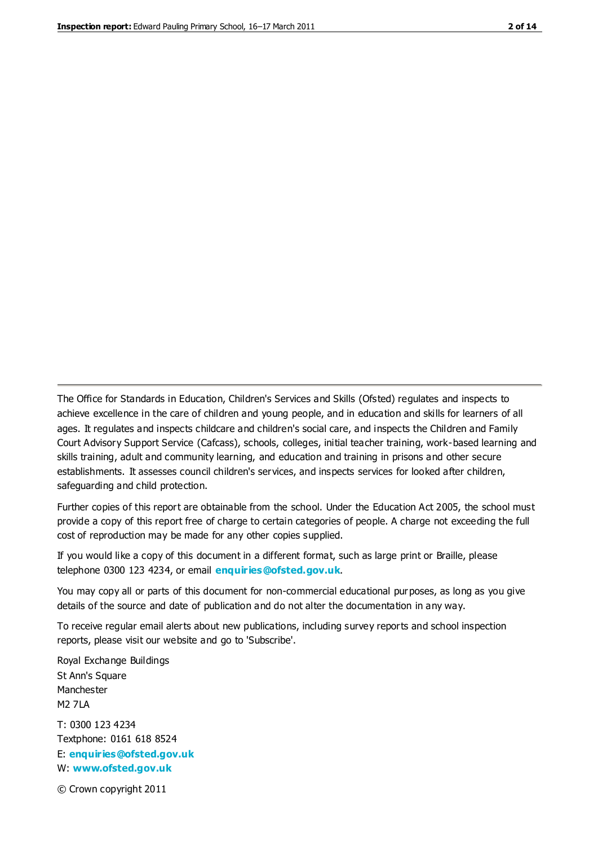The Office for Standards in Education, Children's Services and Skills (Ofsted) regulates and inspects to achieve excellence in the care of children and young people, and in education and skills for learners of all ages. It regulates and inspects childcare and children's social care, and inspects the Children and Family Court Advisory Support Service (Cafcass), schools, colleges, initial teacher training, work-based learning and skills training, adult and community learning, and education and training in prisons and other secure establishments. It assesses council children's services, and inspects services for looked after children, safeguarding and child protection.

Further copies of this report are obtainable from the school. Under the Education Act 2005, the school must provide a copy of this report free of charge to certain categories of people. A charge not exceeding the full cost of reproduction may be made for any other copies supplied.

If you would like a copy of this document in a different format, such as large print or Braille, please telephone 0300 123 4234, or email **[enquiries@ofsted.gov.uk](mailto:enquiries@ofsted.gov.uk)**.

You may copy all or parts of this document for non-commercial educational purposes, as long as you give details of the source and date of publication and do not alter the documentation in any way.

To receive regular email alerts about new publications, including survey reports and school inspection reports, please visit our website and go to 'Subscribe'.

Royal Exchange Buildings St Ann's Square Manchester M2 7LA T: 0300 123 4234 Textphone: 0161 618 8524 E: **[enquiries@ofsted.gov.uk](mailto:enquiries@ofsted.gov.uk)**

W: **[www.ofsted.gov.uk](http://www.ofsted.gov.uk/)**

© Crown copyright 2011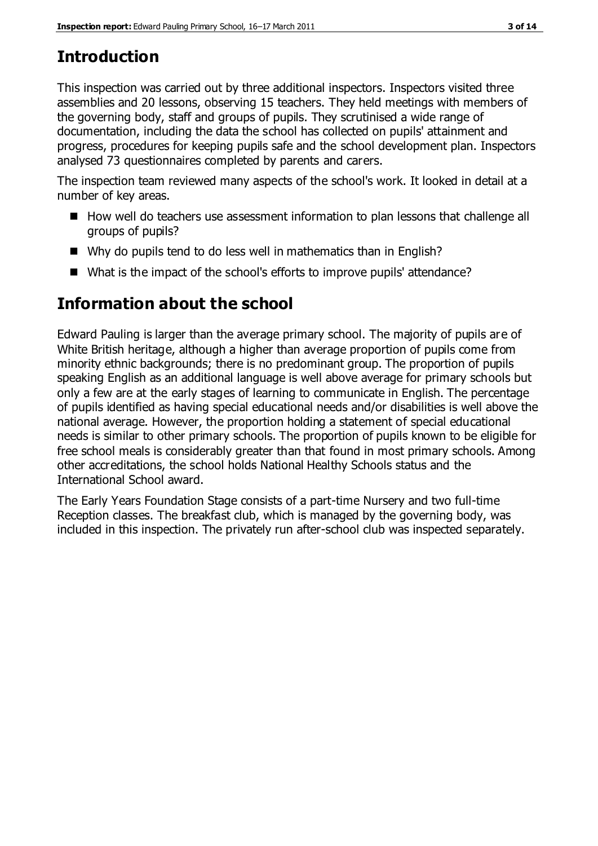## **Introduction**

This inspection was carried out by three additional inspectors. Inspectors visited three assemblies and 20 lessons, observing 15 teachers. They held meetings with members of the governing body, staff and groups of pupils. They scrutinised a wide range of documentation, including the data the school has collected on pupils' attainment and progress, procedures for keeping pupils safe and the school development plan. Inspectors analysed 73 questionnaires completed by parents and carers.

The inspection team reviewed many aspects of the school's work. It looked in detail at a number of key areas.

- How well do teachers use assessment information to plan lessons that challenge all groups of pupils?
- Why do pupils tend to do less well in mathematics than in English?
- What is the impact of the school's efforts to improve pupils' attendance?

# **Information about the school**

Edward Pauling is larger than the average primary school. The majority of pupils are of White British heritage, although a higher than average proportion of pupils come from minority ethnic backgrounds; there is no predominant group. The proportion of pupils speaking English as an additional language is well above average for primary schools but only a few are at the early stages of learning to communicate in English. The percentage of pupils identified as having special educational needs and/or disabilities is well above the national average. However, the proportion holding a statement of special educational needs is similar to other primary schools. The proportion of pupils known to be eligible for free school meals is considerably greater than that found in most primary schools. Among other accreditations, the school holds National Healthy Schools status and the International School award.

The Early Years Foundation Stage consists of a part-time Nursery and two full-time Reception classes. The breakfast club, which is managed by the governing body, was included in this inspection. The privately run after-school club was inspected separately.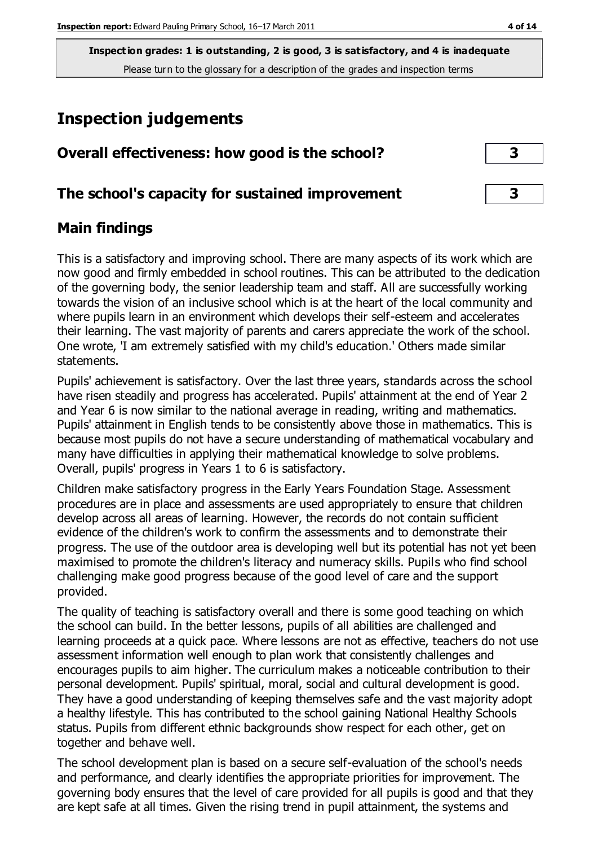# **Inspection judgements**

| Overall effectiveness: how good is the school?  |  |
|-------------------------------------------------|--|
| The school's capacity for sustained improvement |  |

## **Main findings**

This is a satisfactory and improving school. There are many aspects of its work which are now good and firmly embedded in school routines. This can be attributed to the dedication of the governing body, the senior leadership team and staff. All are successfully working towards the vision of an inclusive school which is at the heart of the local community and where pupils learn in an environment which develops their self-esteem and accelerates their learning. The vast majority of parents and carers appreciate the work of the school. One wrote, 'I am extremely satisfied with my child's education.' Others made similar statements.

Pupils' achievement is satisfactory. Over the last three years, standards across the school have risen steadily and progress has accelerated. Pupils' attainment at the end of Year 2 and Year 6 is now similar to the national average in reading, writing and mathematics. Pupils' attainment in English tends to be consistently above those in mathematics. This is because most pupils do not have a secure understanding of mathematical vocabulary and many have difficulties in applying their mathematical knowledge to solve problems. Overall, pupils' progress in Years 1 to 6 is satisfactory.

Children make satisfactory progress in the Early Years Foundation Stage. Assessment procedures are in place and assessments are used appropriately to ensure that children develop across all areas of learning. However, the records do not contain sufficient evidence of the children's work to confirm the assessments and to demonstrate their progress. The use of the outdoor area is developing well but its potential has not yet been maximised to promote the children's literacy and numeracy skills. Pupils who find school challenging make good progress because of the good level of care and the support provided.

The quality of teaching is satisfactory overall and there is some good teaching on which the school can build. In the better lessons, pupils of all abilities are challenged and learning proceeds at a quick pace. Where lessons are not as effective, teachers do not use assessment information well enough to plan work that consistently challenges and encourages pupils to aim higher. The curriculum makes a noticeable contribution to their personal development. Pupils' spiritual, moral, social and cultural development is good. They have a good understanding of keeping themselves safe and the vast majority adopt a healthy lifestyle. This has contributed to the school gaining National Healthy Schools status. Pupils from different ethnic backgrounds show respect for each other, get on together and behave well.

The school development plan is based on a secure self-evaluation of the school's needs and performance, and clearly identifies the appropriate priorities for improvement. The governing body ensures that the level of care provided for all pupils is good and that they are kept safe at all times. Given the rising trend in pupil attainment, the systems and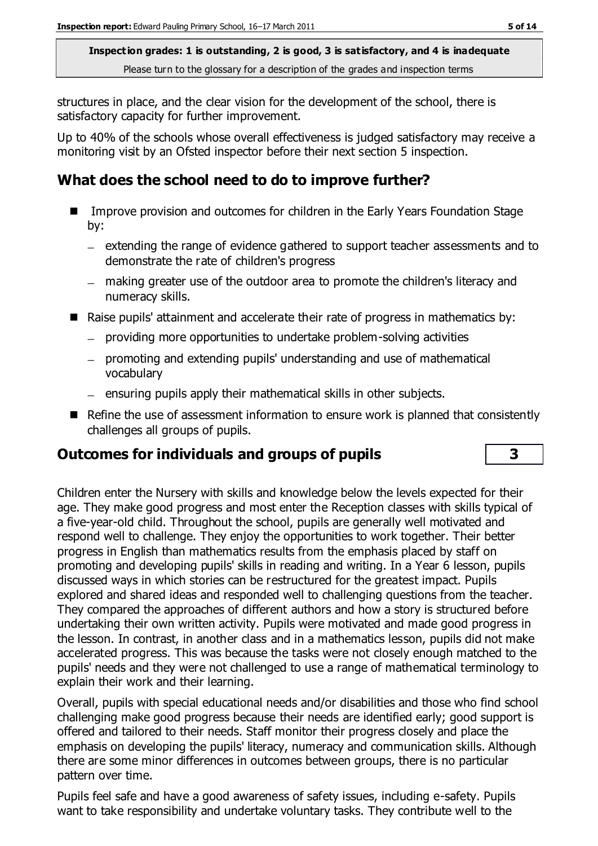structures in place, and the clear vision for the development of the school, there is satisfactory capacity for further improvement.

Up to 40% of the schools whose overall effectiveness is judged satisfactory may receive a monitoring visit by an Ofsted inspector before their next section 5 inspection.

## **What does the school need to do to improve further?**

- Improve provision and outcomes for children in the Early Years Foundation Stage by:
	- $-$  extending the range of evidence gathered to support teacher assessments and to demonstrate the rate of children's progress
	- making greater use of the outdoor area to promote the children's literacy and numeracy skills.
- Raise pupils' attainment and accelerate their rate of progress in mathematics by:
	- providing more opportunities to undertake problem-solving activities
	- promoting and extending pupils' understanding and use of mathematical vocabulary
	- $-$  ensuring pupils apply their mathematical skills in other subjects.
- Refine the use of assessment information to ensure work is planned that consistently challenges all groups of pupils.

## **Outcomes for individuals and groups of pupils 3**

Children enter the Nursery with skills and knowledge below the levels expected for their age. They make good progress and most enter the Reception classes with skills typical of a five-year-old child. Throughout the school, pupils are generally well motivated and respond well to challenge. They enjoy the opportunities to work together. Their better progress in English than mathematics results from the emphasis placed by staff on promoting and developing pupils' skills in reading and writing. In a Year 6 lesson, pupils discussed ways in which stories can be restructured for the greatest impact. Pupils explored and shared ideas and responded well to challenging questions from the teacher. They compared the approaches of different authors and how a story is structured before undertaking their own written activity. Pupils were motivated and made good progress in the lesson. In contrast, in another class and in a mathematics lesson, pupils did not make accelerated progress. This was because the tasks were not closely enough matched to the pupils' needs and they were not challenged to use a range of mathematical terminology to explain their work and their learning.

Overall, pupils with special educational needs and/or disabilities and those who find school challenging make good progress because their needs are identified early; good support is offered and tailored to their needs. Staff monitor their progress closely and place the emphasis on developing the pupils' literacy, numeracy and communication skills. Although there are some minor differences in outcomes between groups, there is no particular pattern over time.

Pupils feel safe and have a good awareness of safety issues, including e-safety. Pupils want to take responsibility and undertake voluntary tasks. They contribute well to the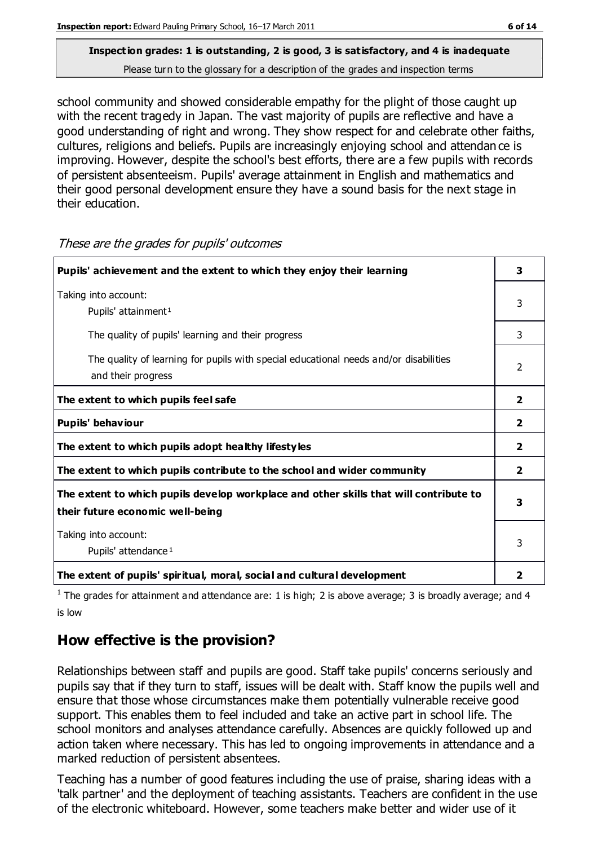school community and showed considerable empathy for the plight of those caught up with the recent tragedy in Japan. The vast majority of pupils are reflective and have a good understanding of right and wrong. They show respect for and celebrate other faiths, cultures, religions and beliefs. Pupils are increasingly enjoying school and attendan ce is improving. However, despite the school's best efforts, there are a few pupils with records of persistent absenteeism. Pupils' average attainment in English and mathematics and their good personal development ensure they have a sound basis for the next stage in their education.

| Pupils' achievement and the extent to which they enjoy their learning                                                     |                |
|---------------------------------------------------------------------------------------------------------------------------|----------------|
| Taking into account:<br>Pupils' attainment <sup>1</sup>                                                                   | 3              |
| The quality of pupils' learning and their progress                                                                        | 3              |
| The quality of learning for pupils with special educational needs and/or disabilities<br>and their progress               |                |
| The extent to which pupils feel safe                                                                                      | $\overline{2}$ |
| Pupils' behaviour                                                                                                         | $\overline{2}$ |
| The extent to which pupils adopt healthy lifestyles                                                                       | $\overline{2}$ |
| The extent to which pupils contribute to the school and wider community                                                   | $\mathbf{2}$   |
| The extent to which pupils develop workplace and other skills that will contribute to<br>their future economic well-being | 3              |
| Taking into account:<br>Pupils' attendance <sup>1</sup>                                                                   |                |
| The extent of pupils' spiritual, moral, social and cultural development                                                   | 2              |

These are the grades for pupils' outcomes

<sup>1</sup> The grades for attainment and attendance are: 1 is high; 2 is above average; 3 is broadly average; and 4 is low

## **How effective is the provision?**

Relationships between staff and pupils are good. Staff take pupils' concerns seriously and pupils say that if they turn to staff, issues will be dealt with. Staff know the pupils well and ensure that those whose circumstances make them potentially vulnerable receive good support. This enables them to feel included and take an active part in school life. The school monitors and analyses attendance carefully. Absences are quickly followed up and action taken where necessary. This has led to ongoing improvements in attendance and a marked reduction of persistent absentees.

Teaching has a number of good features including the use of praise, sharing ideas with a 'talk partner' and the deployment of teaching assistants. Teachers are confident in the use of the electronic whiteboard. However, some teachers make better and wider use of it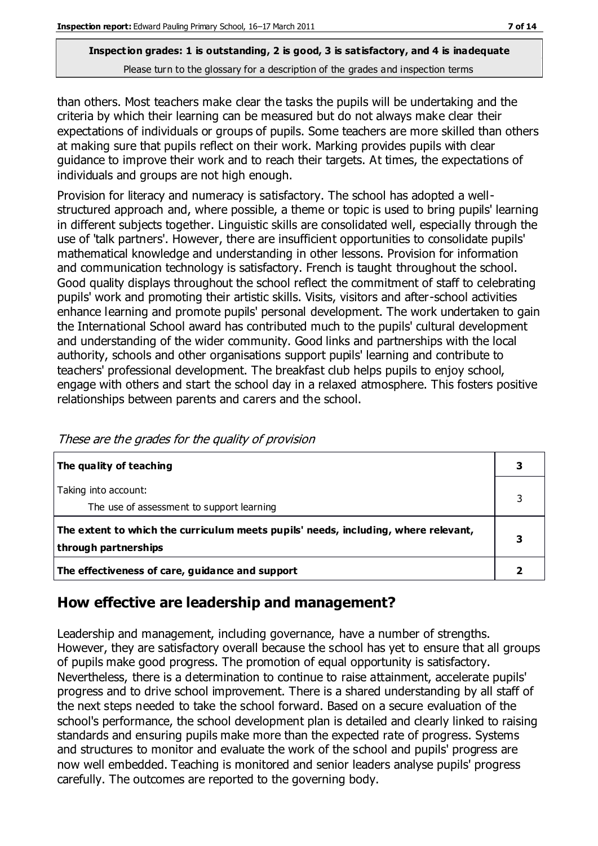than others. Most teachers make clear the tasks the pupils will be undertaking and the criteria by which their learning can be measured but do not always make clear their expectations of individuals or groups of pupils. Some teachers are more skilled than others at making sure that pupils reflect on their work. Marking provides pupils with clear guidance to improve their work and to reach their targets. At times, the expectations of individuals and groups are not high enough.

Provision for literacy and numeracy is satisfactory. The school has adopted a wellstructured approach and, where possible, a theme or topic is used to bring pupils' learning in different subjects together. Linguistic skills are consolidated well, especially through the use of 'talk partners'. However, there are insufficient opportunities to consolidate pupils' mathematical knowledge and understanding in other lessons. Provision for information and communication technology is satisfactory. French is taught throughout the school. Good quality displays throughout the school reflect the commitment of staff to celebrating pupils' work and promoting their artistic skills. Visits, visitors and after-school activities enhance learning and promote pupils' personal development. The work undertaken to gain the International School award has contributed much to the pupils' cultural development and understanding of the wider community. Good links and partnerships with the local authority, schools and other organisations support pupils' learning and contribute to teachers' professional development. The breakfast club helps pupils to enjoy school, engage with others and start the school day in a relaxed atmosphere. This fosters positive relationships between parents and carers and the school.

| The quality of teaching                                                                                    |  |
|------------------------------------------------------------------------------------------------------------|--|
| Taking into account:<br>The use of assessment to support learning                                          |  |
| The extent to which the curriculum meets pupils' needs, including, where relevant,<br>through partnerships |  |
| The effectiveness of care, guidance and support                                                            |  |

These are the grades for the quality of provision

## **How effective are leadership and management?**

Leadership and management, including governance, have a number of strengths. However, they are satisfactory overall because the school has yet to ensure that all groups of pupils make good progress. The promotion of equal opportunity is satisfactory. Nevertheless, there is a determination to continue to raise attainment, accelerate pupils' progress and to drive school improvement. There is a shared understanding by all staff of the next steps needed to take the school forward. Based on a secure evaluation of the school's performance, the school development plan is detailed and clearly linked to raising standards and ensuring pupils make more than the expected rate of progress. Systems and structures to monitor and evaluate the work of the school and pupils' progress are now well embedded. Teaching is monitored and senior leaders analyse pupils' progress carefully. The outcomes are reported to the governing body.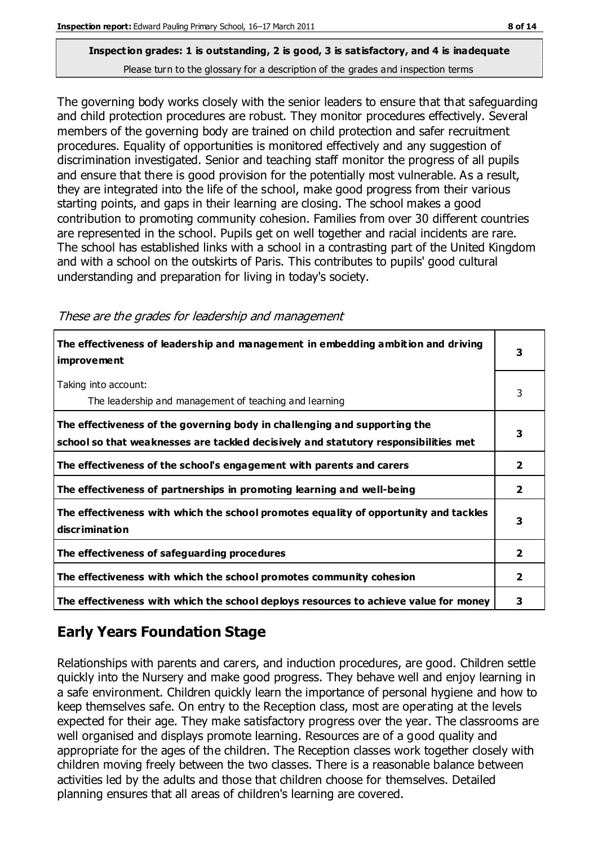The governing body works closely with the senior leaders to ensure that that safeguarding and child protection procedures are robust. They monitor procedures effectively. Several members of the governing body are trained on child protection and safer recruitment procedures. Equality of opportunities is monitored effectively and any suggestion of discrimination investigated. Senior and teaching staff monitor the progress of all pupils and ensure that there is good provision for the potentially most vulnerable. As a result, they are integrated into the life of the school, make good progress from their various starting points, and gaps in their learning are closing. The school makes a good contribution to promoting community cohesion. Families from over 30 different countries are represented in the school. Pupils get on well together and racial incidents are rare. The school has established links with a school in a contrasting part of the United Kingdom and with a school on the outskirts of Paris. This contributes to pupils' good cultural understanding and preparation for living in today's society.

| The effectiveness of leadership and management in embedding ambition and driving<br>improvement                                                                  |                |
|------------------------------------------------------------------------------------------------------------------------------------------------------------------|----------------|
| Taking into account:<br>The leadership and management of teaching and learning                                                                                   | 3              |
| The effectiveness of the governing body in challenging and supporting the<br>school so that weaknesses are tackled decisively and statutory responsibilities met | 3              |
| The effectiveness of the school's engagement with parents and carers                                                                                             | 2              |
| The effectiveness of partnerships in promoting learning and well-being                                                                                           | 2              |
| The effectiveness with which the school promotes equality of opportunity and tackles<br>discrimination                                                           | 3              |
| The effectiveness of safeguarding procedures                                                                                                                     | 2              |
| The effectiveness with which the school promotes community cohesion                                                                                              | $\overline{2}$ |
| The effectiveness with which the school deploys resources to achieve value for money                                                                             | 3              |

## **Early Years Foundation Stage**

Relationships with parents and carers, and induction procedures, are good. Children settle quickly into the Nursery and make good progress. They behave well and enjoy learning in a safe environment. Children quickly learn the importance of personal hygiene and how to keep themselves safe. On entry to the Reception class, most are operating at the levels expected for their age. They make satisfactory progress over the year. The classrooms are well organised and displays promote learning. Resources are of a good quality and appropriate for the ages of the children. The Reception classes work together closely with children moving freely between the two classes. There is a reasonable balance between activities led by the adults and those that children choose for themselves. Detailed planning ensures that all areas of children's learning are covered.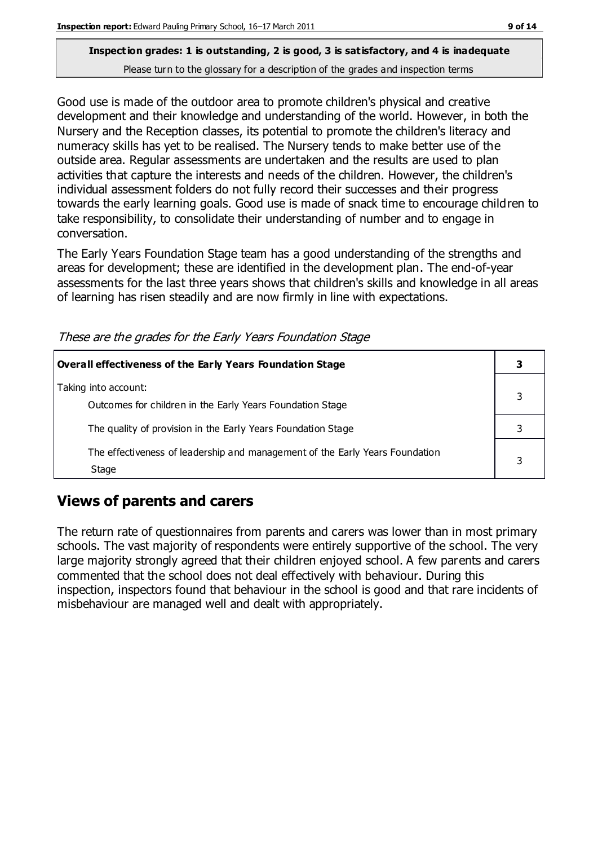Good use is made of the outdoor area to promote children's physical and creative development and their knowledge and understanding of the world. However, in both the Nursery and the Reception classes, its potential to promote the children's literacy and numeracy skills has yet to be realised. The Nursery tends to make better use of the outside area. Regular assessments are undertaken and the results are used to plan activities that capture the interests and needs of the children. However, the children's individual assessment folders do not fully record their successes and their progress towards the early learning goals. Good use is made of snack time to encourage children to take responsibility, to consolidate their understanding of number and to engage in conversation.

The Early Years Foundation Stage team has a good understanding of the strengths and areas for development; these are identified in the development plan. The end-of-year assessments for the last three years shows that children's skills and knowledge in all areas of learning has risen steadily and are now firmly in line with expectations.

| 3 |
|---|
|   |
|   |
|   |
| 3 |
|   |

These are the grades for the Early Years Foundation Stage

## **Views of parents and carers**

The return rate of questionnaires from parents and carers was lower than in most primary schools. The vast majority of respondents were entirely supportive of the school. The very large majority strongly agreed that their children enjoyed school. A few parents and carers commented that the school does not deal effectively with behaviour. During this inspection, inspectors found that behaviour in the school is good and that rare incidents of misbehaviour are managed well and dealt with appropriately.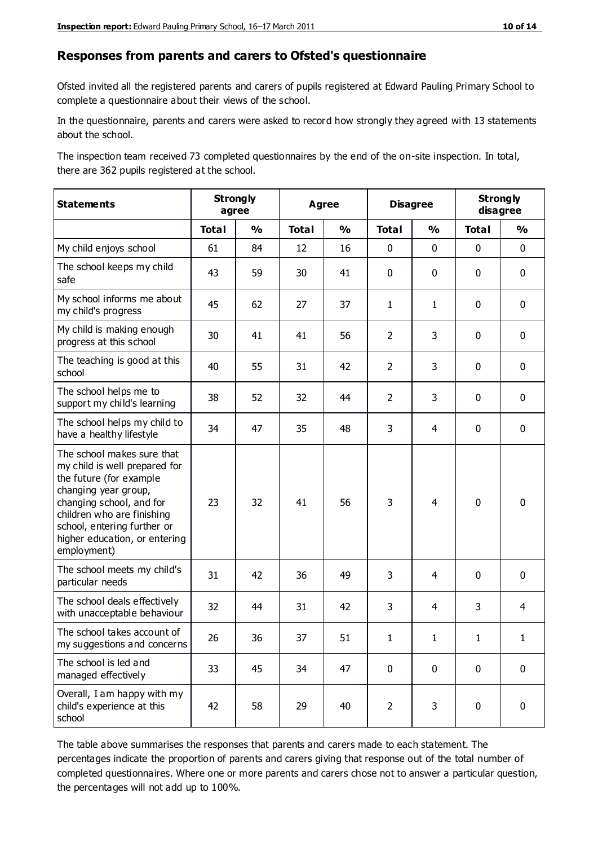#### **Responses from parents and carers to Ofsted's questionnaire**

Ofsted invited all the registered parents and carers of pupils registered at Edward Pauling Primary School to complete a questionnaire about their views of the school.

In the questionnaire, parents and carers were asked to record how strongly they agreed with 13 statements about the school.

The inspection team received 73 completed questionnaires by the end of the on-site inspection. In total, there are 362 pupils registered at the school.

| <b>Statements</b>                                                                                                                                                                                                                                       | <b>Strongly</b><br>agree |               | <b>Agree</b> |               | <b>Disagree</b> |                | <b>Strongly</b><br>disagree |               |
|---------------------------------------------------------------------------------------------------------------------------------------------------------------------------------------------------------------------------------------------------------|--------------------------|---------------|--------------|---------------|-----------------|----------------|-----------------------------|---------------|
|                                                                                                                                                                                                                                                         | <b>Total</b>             | $\frac{0}{0}$ | <b>Total</b> | $\frac{1}{2}$ | <b>Total</b>    | $\frac{1}{2}$  | <b>Total</b>                | $\frac{1}{2}$ |
| My child enjoys school                                                                                                                                                                                                                                  | 61                       | 84            | 12           | 16            | 0               | 0              | $\mathbf 0$                 | $\mathbf 0$   |
| The school keeps my child<br>safe                                                                                                                                                                                                                       | 43                       | 59            | 30           | 41            | 0               | 0              | $\mathbf 0$                 | $\mathbf 0$   |
| My school informs me about<br>my child's progress                                                                                                                                                                                                       | 45                       | 62            | 27           | 37            | $\mathbf{1}$    | $\mathbf{1}$   | $\mathbf 0$                 | $\mathbf 0$   |
| My child is making enough<br>progress at this school                                                                                                                                                                                                    | 30                       | 41            | 41           | 56            | $\overline{2}$  | 3              | $\mathbf 0$                 | $\mathbf 0$   |
| The teaching is good at this<br>school                                                                                                                                                                                                                  | 40                       | 55            | 31           | 42            | $\overline{2}$  | 3              | 0                           | $\mathbf 0$   |
| The school helps me to<br>support my child's learning                                                                                                                                                                                                   | 38                       | 52            | 32           | 44            | $\overline{2}$  | 3              | 0                           | $\mathbf 0$   |
| The school helps my child to<br>have a healthy lifestyle                                                                                                                                                                                                | 34                       | 47            | 35           | 48            | 3               | $\overline{4}$ | 0                           | $\pmb{0}$     |
| The school makes sure that<br>my child is well prepared for<br>the future (for example<br>changing year group,<br>changing school, and for<br>children who are finishing<br>school, entering further or<br>higher education, or entering<br>employment) | 23                       | 32            | 41           | 56            | 3               | 4              | $\mathbf 0$                 | $\mathbf 0$   |
| The school meets my child's<br>particular needs                                                                                                                                                                                                         | 31                       | 42            | 36           | 49            | 3               | 4              | $\mathbf 0$                 | $\mathbf 0$   |
| The school deals effectively<br>with unacceptable behaviour                                                                                                                                                                                             | 32                       | 44            | 31           | 42            | 3               | 4              | 3                           | 4             |
| The school takes account of<br>my suggestions and concerns                                                                                                                                                                                              | 26                       | 36            | 37           | 51            | 1               | 1              | 1                           |               |
| The school is led and<br>managed effectively                                                                                                                                                                                                            | 33                       | 45            | 34           | 47            | $\pmb{0}$       | $\mathbf 0$    | $\mathbf 0$                 | $\mathbf 0$   |
| Overall, I am happy with my<br>child's experience at this<br>school                                                                                                                                                                                     | 42                       | 58            | 29           | 40            | $\overline{2}$  | 3              | $\mathbf 0$                 | $\pmb{0}$     |

The table above summarises the responses that parents and carers made to each statement. The percentages indicate the proportion of parents and carers giving that response out of the total number of completed questionnaires. Where one or more parents and carers chose not to answer a particular question, the percentages will not add up to 100%.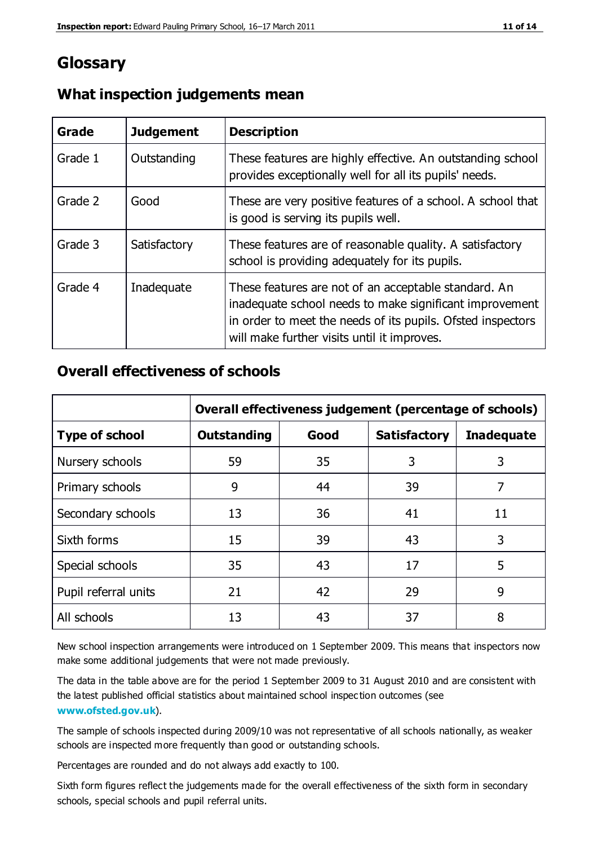## **Glossary**

| Grade   | <b>Judgement</b> | <b>Description</b>                                                                                                                                                                                                            |
|---------|------------------|-------------------------------------------------------------------------------------------------------------------------------------------------------------------------------------------------------------------------------|
| Grade 1 | Outstanding      | These features are highly effective. An outstanding school<br>provides exceptionally well for all its pupils' needs.                                                                                                          |
| Grade 2 | Good             | These are very positive features of a school. A school that<br>is good is serving its pupils well.                                                                                                                            |
| Grade 3 | Satisfactory     | These features are of reasonable quality. A satisfactory<br>school is providing adequately for its pupils.                                                                                                                    |
| Grade 4 | Inadequate       | These features are not of an acceptable standard. An<br>inadequate school needs to make significant improvement<br>in order to meet the needs of its pupils. Ofsted inspectors<br>will make further visits until it improves. |

#### **What inspection judgements mean**

### **Overall effectiveness of schools**

|                       | Overall effectiveness judgement (percentage of schools) |      |                     |                   |
|-----------------------|---------------------------------------------------------|------|---------------------|-------------------|
| <b>Type of school</b> | <b>Outstanding</b>                                      | Good | <b>Satisfactory</b> | <b>Inadequate</b> |
| Nursery schools       | 59                                                      | 35   | 3                   | 3                 |
| Primary schools       | 9                                                       | 44   | 39                  | 7                 |
| Secondary schools     | 13                                                      | 36   | 41                  | 11                |
| Sixth forms           | 15                                                      | 39   | 43                  | 3                 |
| Special schools       | 35                                                      | 43   | 17                  | 5                 |
| Pupil referral units  | 21                                                      | 42   | 29                  | 9                 |
| All schools           | 13                                                      | 43   | 37                  | 8                 |

New school inspection arrangements were introduced on 1 September 2009. This means that inspectors now make some additional judgements that were not made previously.

The data in the table above are for the period 1 September 2009 to 31 August 2010 and are consistent with the latest published official statistics about maintained school inspec tion outcomes (see **[www.ofsted.gov.uk](http://www.ofsted.gov.uk/)**).

The sample of schools inspected during 2009/10 was not representative of all schools nationally, as weaker schools are inspected more frequently than good or outstanding schools.

Percentages are rounded and do not always add exactly to 100.

Sixth form figures reflect the judgements made for the overall effectiveness of the sixth form in secondary schools, special schools and pupil referral units.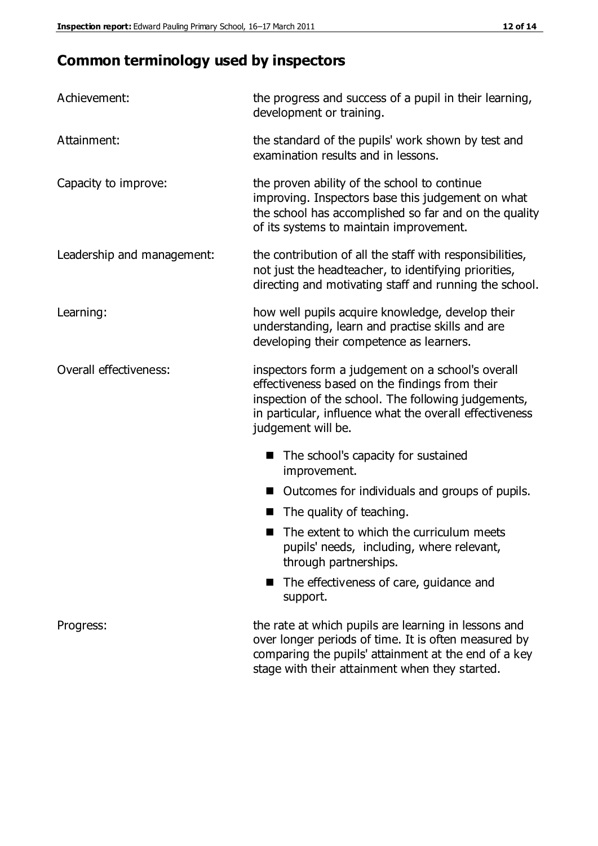# **Common terminology used by inspectors**

| Achievement:               | the progress and success of a pupil in their learning,<br>development or training.                                                                                                                                                          |  |  |
|----------------------------|---------------------------------------------------------------------------------------------------------------------------------------------------------------------------------------------------------------------------------------------|--|--|
| Attainment:                | the standard of the pupils' work shown by test and<br>examination results and in lessons.                                                                                                                                                   |  |  |
| Capacity to improve:       | the proven ability of the school to continue<br>improving. Inspectors base this judgement on what<br>the school has accomplished so far and on the quality<br>of its systems to maintain improvement.                                       |  |  |
| Leadership and management: | the contribution of all the staff with responsibilities,<br>not just the headteacher, to identifying priorities,<br>directing and motivating staff and running the school.                                                                  |  |  |
| Learning:                  | how well pupils acquire knowledge, develop their<br>understanding, learn and practise skills and are<br>developing their competence as learners.                                                                                            |  |  |
| Overall effectiveness:     | inspectors form a judgement on a school's overall<br>effectiveness based on the findings from their<br>inspection of the school. The following judgements,<br>in particular, influence what the overall effectiveness<br>judgement will be. |  |  |
|                            | The school's capacity for sustained<br>improvement.                                                                                                                                                                                         |  |  |
|                            | Outcomes for individuals and groups of pupils.                                                                                                                                                                                              |  |  |
|                            | The quality of teaching.                                                                                                                                                                                                                    |  |  |
|                            | The extent to which the curriculum meets<br>pupils' needs, including, where relevant,<br>through partnerships.                                                                                                                              |  |  |
|                            | The effectiveness of care, guidance and<br>support.                                                                                                                                                                                         |  |  |
| Progress:                  | the rate at which pupils are learning in lessons and<br>over longer periods of time. It is often measured by<br>comparing the pupils' attainment at the end of a key                                                                        |  |  |

stage with their attainment when they started.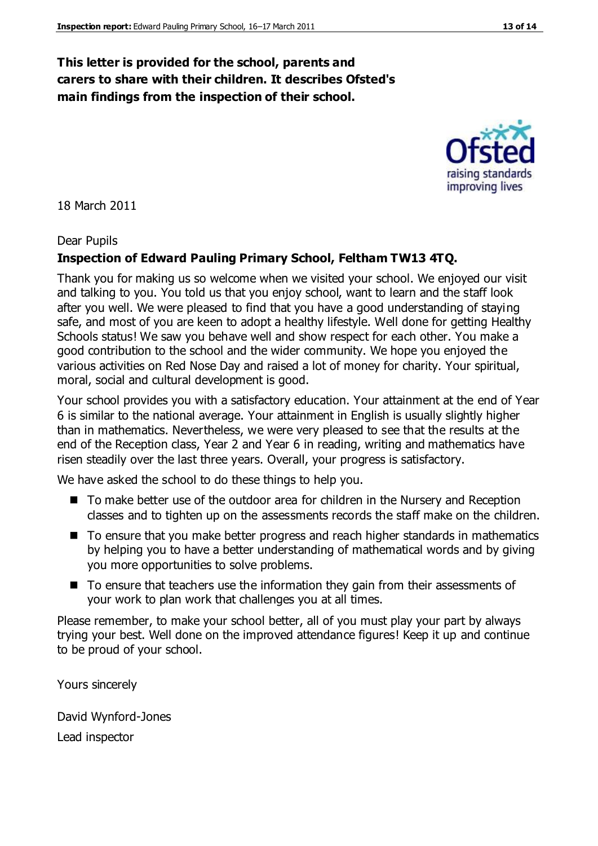#### **This letter is provided for the school, parents and carers to share with their children. It describes Ofsted's main findings from the inspection of their school.**

18 March 2011

#### Dear Pupils

#### **Inspection of Edward Pauling Primary School, Feltham TW13 4TQ.**

Thank you for making us so welcome when we visited your school. We enjoyed our visit and talking to you. You told us that you enjoy school, want to learn and the staff look after you well. We were pleased to find that you have a good understanding of staying safe, and most of you are keen to adopt a healthy lifestyle. Well done for getting Healthy Schools status! We saw you behave well and show respect for each other. You make a good contribution to the school and the wider community. We hope you enjoyed the various activities on Red Nose Day and raised a lot of money for charity. Your spiritual, moral, social and cultural development is good.

Your school provides you with a satisfactory education. Your attainment at the end of Year 6 is similar to the national average. Your attainment in English is usually slightly higher than in mathematics. Nevertheless, we were very pleased to see that the results at the end of the Reception class, Year 2 and Year 6 in reading, writing and mathematics have risen steadily over the last three years. Overall, your progress is satisfactory.

We have asked the school to do these things to help you.

- To make better use of the outdoor area for children in the Nursery and Reception classes and to tighten up on the assessments records the staff make on the children.
- To ensure that you make better progress and reach higher standards in mathematics by helping you to have a better understanding of mathematical words and by giving you more opportunities to solve problems.
- To ensure that teachers use the information they gain from their assessments of your work to plan work that challenges you at all times.

Please remember, to make your school better, all of you must play your part by always trying your best. Well done on the improved attendance figures! Keep it up and continue to be proud of your school.

Yours sincerely

David Wynford-Jones Lead inspector